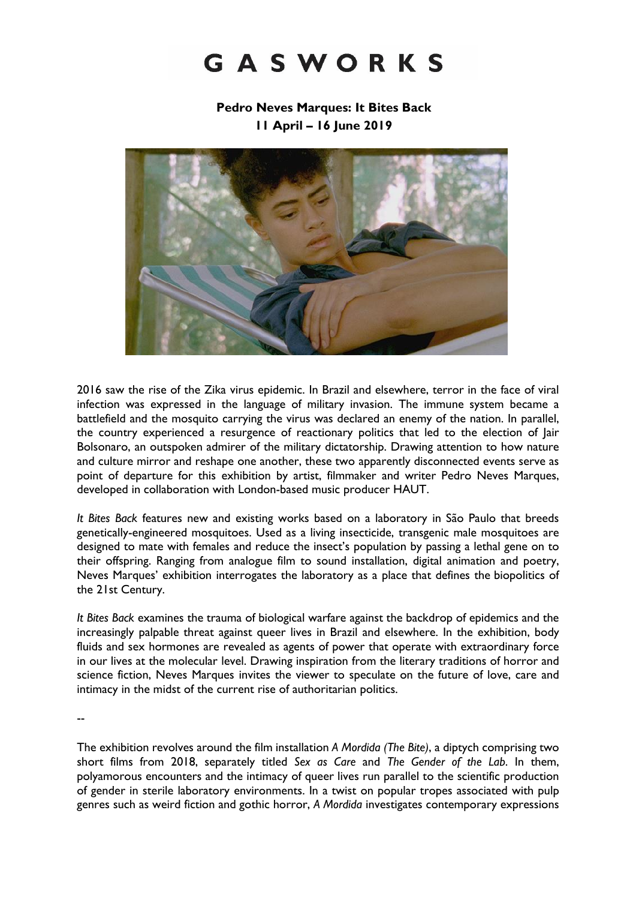# GASWORKS

**Pedro Neves Marques: It Bites Back 11 April – 16 June 2019**



2016 saw the rise of the Zika virus epidemic. In Brazil and elsewhere, terror in the face of viral infection was expressed in the language of military invasion. The immune system became a battlefield and the mosquito carrying the virus was declared an enemy of the nation. In parallel, the country experienced a resurgence of reactionary politics that led to the election of Jair Bolsonaro, an outspoken admirer of the military dictatorship. Drawing attention to how nature and culture mirror and reshape one another, these two apparently disconnected events serve as point of departure for this exhibition by artist, filmmaker and writer Pedro Neves Marques, developed in collaboration with London-based music producer HAUT.

*It Bites Back* features new and existing works based on a laboratory in São Paulo that breeds genetically-engineered mosquitoes. Used as a living insecticide, transgenic male mosquitoes are designed to mate with females and reduce the insect's population by passing a lethal gene on to their offspring. Ranging from analogue film to sound installation, digital animation and poetry, Neves Marques' exhibition interrogates the laboratory as a place that defines the biopolitics of the 21st Century.

*It Bites Back* examines the trauma of biological warfare against the backdrop of epidemics and the increasingly palpable threat against queer lives in Brazil and elsewhere. In the exhibition, body fluids and sex hormones are revealed as agents of power that operate with extraordinary force in our lives at the molecular level. Drawing inspiration from the literary traditions of horror and science fiction, Neves Marques invites the viewer to speculate on the future of love, care and intimacy in the midst of the current rise of authoritarian politics.

--

The exhibition revolves around the film installation *A Mordida (The Bite)*, a diptych comprising two short films from 2018, separately titled *Sex as Care* and *The Gender of the Lab*. In them, polyamorous encounters and the intimacy of queer lives run parallel to the scientific production of gender in sterile laboratory environments. In a twist on popular tropes associated with pulp genres such as weird fiction and gothic horror, *A Mordida* investigates contemporary expressions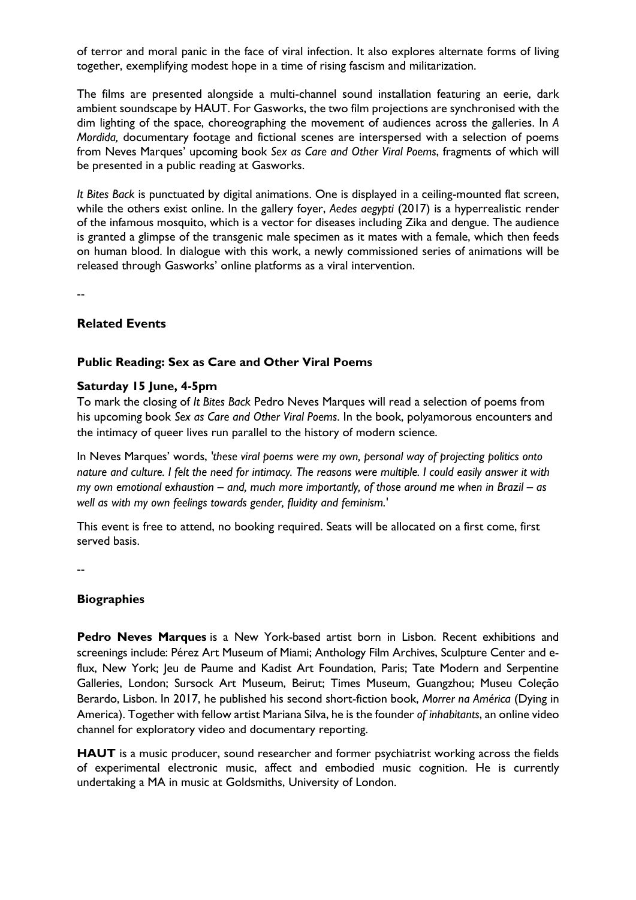of terror and moral panic in the face of viral infection. It also explores alternate forms of living together, exemplifying modest hope in a time of rising fascism and militarization.

The films are presented alongside a multi-channel sound installation featuring an eerie, dark ambient soundscape by HAUT. For Gasworks, the two film projections are synchronised with the dim lighting of the space, choreographing the movement of audiences across the galleries. In *A Mordida,* documentary footage and fictional scenes are interspersed with a selection of poems from Neves Marques' upcoming book *Sex as Care and Other Viral Poems*, fragments of which will be presented in a public reading at Gasworks.

*It Bites Back* is punctuated by digital animations. One is displayed in a ceiling-mounted flat screen, while the others exist online. In the gallery foyer, *Aedes aegypti* (2017) is a hyperrealistic render of the infamous mosquito, which is a vector for diseases including Zika and dengue. The audience is granted a glimpse of the transgenic male specimen as it mates with a female, which then feeds on human blood. In dialogue with this work, a newly commissioned series of animations will be released through Gasworks' online platforms as a viral intervention.

--

### **Related Events**

#### **Public Reading: Sex as Care and Other Viral Poems**

#### **Saturday 15 June, 4-5pm**

To mark the closing of *It Bites Back* Pedro Neves Marques will read a selection of poems from his upcoming book *Sex as Care and Other Viral Poems*. In the book, polyamorous encounters and the intimacy of queer lives run parallel to the history of modern science.

In Neves Marques' words, *'these viral poems were my own, personal way of projecting politics onto nature and culture. I felt the need for intimacy. The reasons were multiple. I could easily answer it with my own emotional exhaustion – and, much more importantly, of those around me when in Brazil – as well as with my own feelings towards gender, fluidity and feminism.'*

This event is free to attend, no booking required. Seats will be allocated on a first come, first served basis.

--

### **Biographies**

**Pedro Neves Marques** is a New York-based artist born in Lisbon. Recent exhibitions and screenings include: Pérez Art Museum of Miami; Anthology Film Archives, Sculpture Center and eflux, New York; Jeu de Paume and Kadist Art Foundation, Paris; Tate Modern and Serpentine Galleries, London; Sursock Art Museum, Beirut; Times Museum, Guangzhou; Museu Coleção Berardo, Lisbon. In 2017, he published his second short-fiction book, *Morrer na América* (Dying in America). Together with fellow artist Mariana Silva, he is the founder *of inhabitants*, an online video channel for exploratory video and documentary reporting.

**HAUT** is a music producer, sound researcher and former psychiatrist working across the fields of experimental electronic music, affect and embodied music cognition. He is currently undertaking a MA in music at Goldsmiths, University of London.